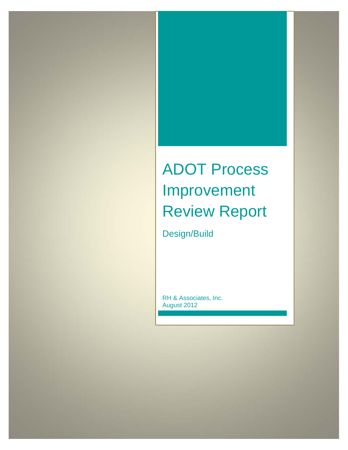# ADOT Process Improvement Review Report

Design/Build

RH & Associates, Inc. August 2012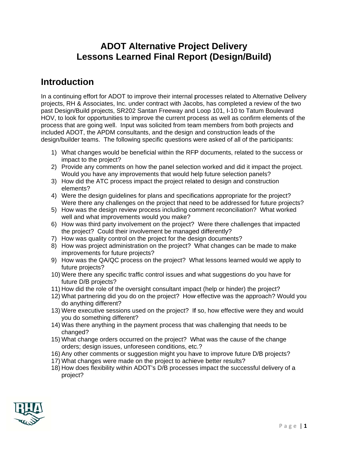# **ADOT Alternative Project Delivery Lessons Learned Final Report (Design/Build)**

# **Introduction**

In a continuing effort for ADOT to improve their internal processes related to Alternative Delivery projects, RH & Associates, Inc. under contract with Jacobs, has completed a review of the two past Design/Build projects, SR202 Santan Freeway and Loop 101, I-10 to Tatum Boulevard HOV, to look for opportunities to improve the current process as well as confirm elements of the process that are going well. Input was solicited from team members from both projects and included ADOT, the APDM consultants, and the design and construction leads of the design/builder teams. The following specific questions were asked of all of the participants:

- 1) What changes would be beneficial within the RFP documents, related to the success or impact to the project?
- 2) Provide any comments on how the panel selection worked and did it impact the project. Would you have any improvements that would help future selection panels?
- 3) How did the ATC process impact the project related to design and construction elements?
- 4) Were the design quidelines for plans and specifications appropriate for the project? Were there any challenges on the project that need to be addressed for future projects?
- 5) How was the design review process including comment reconciliation? What worked well and what improvements would you make?
- 6) How was third party involvement on the project? Were there challenges that impacted the project? Could their involvement be managed differently?
- 7) How was quality control on the project for the design documents?
- 8) How was project administration on the project? What changes can be made to make improvements for future projects?
- 9) How was the QA/QC process on the project? What lessons learned would we apply to future projects?
- 10) Were there any specific traffic control issues and what suggestions do you have for future D/B projects?
- 11) How did the role of the oversight consultant impact (help or hinder) the project?
- 12) What partnering did you do on the project? How effective was the approach? Would you do anything different?
- 13) Were executive sessions used on the project? If so, how effective were they and would you do something different?
- 14) Was there anything in the payment process that was challenging that needs to be changed?
- 15) What change orders occurred on the project? What was the cause of the change orders; design issues, unforeseen conditions, etc.?
- 16) Any other comments or suggestion might you have to improve future D/B projects?
- 17) What changes were made on the project to achieve better results?
- 18) How does flexibility within ADOT's D/B processes impact the successful delivery of a project?

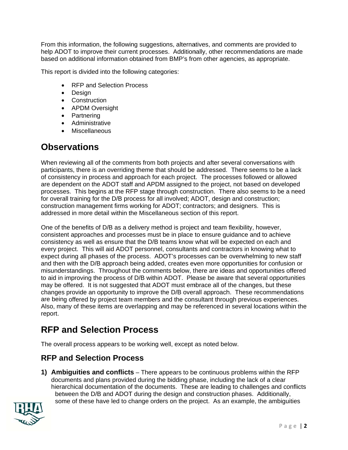From this information, the following suggestions, alternatives, and comments are provided to help ADOT to improve their current processes. Additionally, other recommendations are made based on additional information obtained from BMP's from other agencies, as appropriate.

This report is divided into the following categories:

- RFP and Selection Process
- Design
- Construction
- APDM Oversight
- Partnering
- Administrative
- Miscellaneous

# **Observations**

When reviewing all of the comments from both projects and after several conversations with participants, there is an overriding theme that should be addressed. There seems to be a lack of consistency in process and approach for each project. The processes followed or allowed are dependent on the ADOT staff and APDM assigned to the project, not based on developed processes. This begins at the RFP stage through construction. There also seems to be a need for overall training for the D/B process for all involved; ADOT, design and construction; construction management firms working for ADOT; contractors; and designers. This is addressed in more detail within the Miscellaneous section of this report.

One of the benefits of D/B as a delivery method is project and team flexibility, however, consistent approaches and processes must be in place to ensure guidance and to achieve consistency as well as ensure that the D/B teams know what will be expected on each and every project. This will aid ADOT personnel, consultants and contractors in knowing what to expect during all phases of the process. ADOT's processes can be overwhelming to new staff and then with the D/B approach being added, creates even more opportunities for confusion or misunderstandings. Throughout the comments below, there are ideas and opportunities offered to aid in improving the process of D/B within ADOT. Please be aware that several opportunities may be offered. It is not suggested that ADOT must embrace all of the changes, but these changes provide an opportunity to improve the D/B overall approach. These recommendations are being offered by project team members and the consultant through previous experiences. Also, many of these items are overlapping and may be referenced in several locations within the report.

# **RFP and Selection Process**

The overall process appears to be working well, except as noted below.

## **RFP and Selection Process**

1) Ambiguities and conflicts – There appears to be continuous problems within the RFP documents and plans provided during the bidding phase, including the lack of a clear hierarchical documentation of the documents. These are leading to challenges and conflicts between the D/B and ADOT during the design and construction phases. Additionally, some of these have led to change orders on the project. As an example, the ambiguities

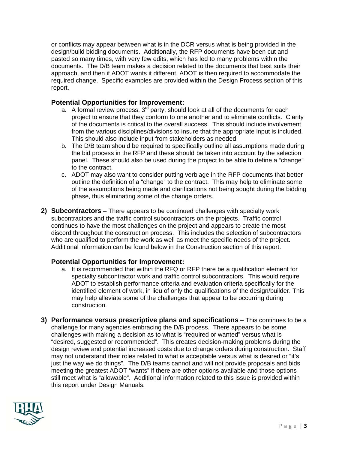or conflicts may appear between what is in the DCR versus what is being provided in the design/build bidding documents. Additionally, the RFP documents have been cut and pasted so many times, with very few edits, which has led to many problems within the documents. The D/B team makes a decision related to the documents that best suits their approach, and then if ADOT wants it different, ADOT is then required to accommodate the required change. Specific examples are provided within the Design Process section of this report.

#### **Potential Opportunities for Improvement:**

- a. A formal review process,  $3<sup>rd</sup>$  party, should look at all of the documents for each project to ensure that they conform to one another and to eliminate conflicts. Clarity of the documents is critical to the overall success. This should include involvement from the various disciplines/divisions to insure that the appropriate input is included. This should also include input from stakeholders as needed.
- b. The D/B team should be required to specifically outline all assumptions made during the bid process in the RFP and these should be taken into account by the selection panel. These should also be used during the project to be able to define a "change" to the contract.
- c. ADOT may also want to consider putting verbiage in the RFP documents that better outline the definition of a "change" to the contract. This may help to eliminate some of the assumptions being made and clarifications not being sought during the bidding phase, thus eliminating some of the change orders.
- 2) Subcontractors There appears to be continued challenges with specialty work subcontractors and the traffic control subcontractors on the projects. Traffic control continues to have the most challenges on the project and appears to create the most discord throughout the construction process. This includes the selection of subcontractors who are qualified to perform the work as well as meet the specific needs of the project. Additional information can be found below in the Construction section of this report.

- a. It is recommended that within the RFQ or RFP there be a qualification element for specialty subcontractor work and traffic control subcontractors. This would require ADOT to establish performance criteria and evaluation criteria specifically for the identified element of work, in lieu of only the qualifications of the design/builder. This may help alleviate some of the challenges that appear to be occurring during construction.
- 3) Performance versus prescriptive plans and specifications This continues to be a challenge for many agencies embracing the D/B process. There appears to be some challenges with making a decision as to what is "required or wanted" versus what is "desired, suggested or recommended". This creates decision-making problems during the design review and potential increased costs due to change orders during construction. Staff may not understand their roles related to what is acceptable versus what is desired or "it's just the way we do things". The D/B teams cannot and will not provide proposals and bids meeting the greatest ADOT "wants" if there are other options available and those options still meet what is "allowable". Additional information related to this issue is provided within this report under Design Manuals.

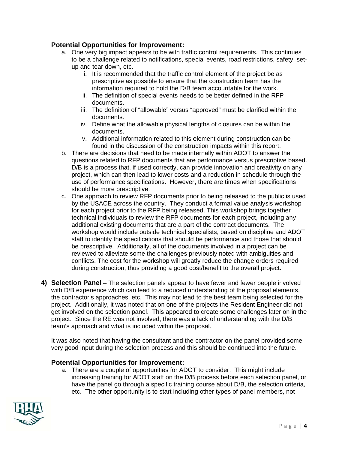#### **Potential Opportunities for Improvement:**

- a. One very big impact appears to be with traffic control requirements. This continues to be a challenge related to notifications, special events, road restrictions, safety, setup and tear down, etc.
	- i. It is recommended that the traffic control element of the project be as prescriptive as possible to ensure that the construction team has the information required to hold the D/B team accountable for the work.
	- ii. The definition of special events needs to be better defined in the RFP documents.
	- iii. The definition of "allowable" versus "approved" must be clarified within the documents.
	- iv. Define what the allowable physical lengths of closures can be within the documents.
	- v. Additional information related to this element during construction can be found in the discussion of the construction impacts within this report.
- b. There are decisions that need to be made internally within ADOT to answer the questions related to RFP documents that are performance versus prescriptive based. D/B is a process that, if used correctly, can provide innovation and creativity on any project, which can then lead to lower costs and a reduction in schedule through the use of performance specifications. However, there are times when specifications should be more prescriptive.
- c. One approach to review RFP documents prior to being released to the public is used by the USACE across the country. They conduct a formal value analysis workshop for each project prior to the RFP being released. This workshop brings together technical individuals to review the RFP documents for each project, including any additional existing documents that are a part of the contract documents. The workshop would include outside technical specialists, based on discipline and ADOT staff to identify the specifications that should be performance and those that should be prescriptive. Additionally, all of the documents involved in a project can be reviewed to alleviate some the challenges previously noted with ambiguities and conflicts. The cost for the workshop will greatly reduce the change orders required during construction, thus providing a good cost/benefit to the overall project.
- 4) Selection Panel The selection panels appear to have fewer and fewer people involved with D/B experience which can lead to a reduced understanding of the proposal elements, the contractor's approaches, etc. This may not lead to the best team being selected for the project. Additionally, it was noted that on one of the projects the Resident Engineer did not get involved on the selection panel. This appeared to create some challenges later on in the project. Since the RE was not involved, there was a lack of understanding with the D/B team's approach and what is included within the proposal.

It was also noted that having the consultant and the contractor on the panel provided some very good input during the selection process and this should be continued into the future.

#### **Potential Opportunities for Improvement:**

a. There are a couple of opportunities for ADOT to consider. This might include increasing training for ADOT staff on the D/B process before each selection panel, or have the panel go through a specific training course about D/B, the selection criteria, etc. The other opportunity is to start including other types of panel members, not

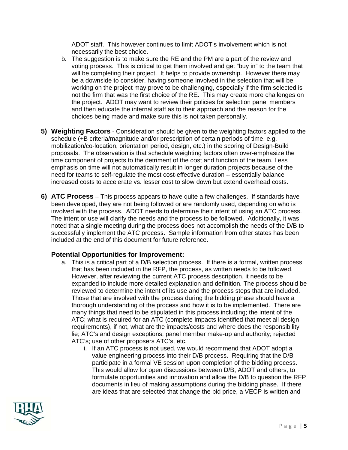ADOT staff. This however continues to limit ADOT's involvement which is not necessarily the best choice.

- b. The suggestion is to make sure the RE and the PM are a part of the review and voting process. This is critical to get them involved and get "buy in" to the team that will be completing their project. It helps to provide ownership. However there may be a downside to consider, having someone involved in the selection that will be working on the project may prove to be challenging, especially if the firm selected is not the firm that was the first choice of the RE. This may create more challenges on the project. ADOT may want to review their policies for selection panel members and then educate the internal staff as to their approach and the reason for the choices being made and make sure this is not taken personally.
- 5) Weighting Factors Consideration should be given to the weighting factors applied to the schedule (+B criteria/magnitude and/or prescription of certain periods of time, e.g. mobilization/co-location, orientation period, design, etc.) in the scoring of Design-Build proposals. The observation is that schedule weighting factors often over-emphasize the time component of projects to the detriment of the cost and function of the team. Less emphasis on time will not automatically result in longer duration projects because of the need for teams to self-regulate the most cost-effective duration - essentially balance increased costs to accelerate vs. lesser cost to slow down but extend overhead costs.
- 6) ATC Process This process appears to have quite a few challenges. If standards have been developed, they are not being followed or are randomly used, depending on who is involved with the process. ADOT needs to determine their intent of using an ATC process. The intent or use will clarify the needs and the process to be followed. Additionally, it was noted that a single meeting during the process does not accomplish the needs of the D/B to successfully implement the ATC process. Sample information from other states has been included at the end of this document for future reference.

- a. This is a critical part of a D/B selection process. If there is a formal, written process that has been included in the RFP, the process, as written needs to be followed. However, after reviewing the current ATC process description, it needs to be expanded to include more detailed explanation and definition. The process should be reviewed to determine the intent of its use and the process steps that are included. Those that are involved with the process during the bidding phase should have a thorough understanding of the process and how it is to be implemented. There are many things that need to be stipulated in this process including; the intent of the ATC; what is required for an ATC (complete impacts identified that meet all design requirements), if not, what are the impacts/costs and where does the responsibility lie; ATC's and design exceptions; panel member make-up and authority; rejected ATC's: use of other proposers ATC's, etc.
	- i. If an ATC process is not used, we would recommend that ADOT adopt a value engineering process into their D/B process. Requiring that the D/B participate in a formal VE session upon completion of the bidding process. This would allow for open discussions between D/B, ADOT and others, to formulate opportunities and innovation and allow the D/B to question the RFP documents in lieu of making assumptions during the bidding phase. If there are ideas that are selected that change the bid price, a VECP is written and

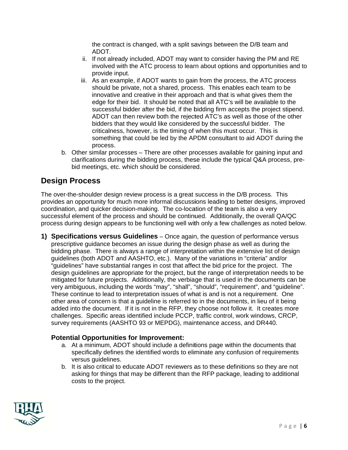the contract is changed, with a split savings between the D/B team and ADOT.

- ii. If not already included, ADOT may want to consider having the PM and RE involved with the ATC process to learn about options and opportunities and to provide input.
- iii. As an example, if ADOT wants to gain from the process, the ATC process should be private, not a shared, process. This enables each team to be innovative and creative in their approach and that is what gives them the edge for their bid. It should be noted that all ATC's will be available to the successful bidder after the bid, if the bidding firm accepts the project stipend. ADOT can then review both the rejected ATC's as well as those of the other bidders that they would like considered by the successful bidder. The criticalness, however, is the timing of when this must occur. This is something that could be led by the APDM consultant to aid ADOT during the process.
- b. Other similar processes There are other processes available for gaining input and clarifications during the bidding process, these include the typical Q&A process, prebid meetings, etc. which should be considered.

# **Design Process**

The over-the-shoulder design review process is a great success in the D/B process. This provides an opportunity for much more informal discussions leading to better designs, improved coordination, and quicker decision-making. The co-location of the team is also a very successful element of the process and should be continued. Additionally, the overall QA/QC process during design appears to be functioning well with only a few challenges as noted below.

1) Specifications versus Guidelines – Once again, the question of performance versus prescriptive guidance becomes an issue during the design phase as well as during the bidding phase. There is always a range of interpretation within the extensive list of design quidelines (both ADOT and AASHTO, etc.). Many of the variations in "criteria" and/or "guidelines" have substantial ranges in cost that affect the bid price for the project. The design quidelines are appropriate for the project, but the range of interpretation needs to be mitigated for future projects. Additionally, the verbiage that is used in the documents can be very ambiguous, including the words "may", "shall", "should", "requirement", and "guideline". These continue to lead to interpretation issues of what is and is not a requirement. One other area of concern is that a quideline is referred to in the documents, in lieu of it being added into the document. If it is not in the RFP, they choose not follow it. It creates more challenges. Specific areas identified include PCCP, traffic control, work windows, CRCP, survey requirements (AASHTO 93 or MEPDG), maintenance access, and DR440.

- a. At a minimum, ADOT should include a definitions page within the documents that specifically defines the identified words to eliminate any confusion of requirements versus guidelines.
- b. It is also critical to educate ADOT reviewers as to these definitions so they are not asking for things that may be different than the RFP package, leading to additional costs to the project.

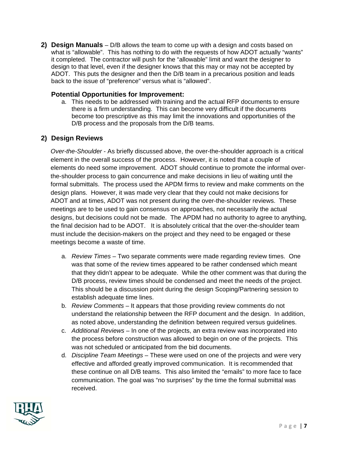2) Design Manuals – D/B allows the team to come up with a design and costs based on what is "allowable". This has nothing to do with the requests of how ADOT actually "wants" it completed. The contractor will push for the "allowable" limit and want the designer to design to that level, even if the designer knows that this may or may not be accepted by ADOT. This puts the designer and then the D/B team in a precarious position and leads back to the issue of "preference" versus what is "allowed".

#### **Potential Opportunities for Improvement:**

a. This needs to be addressed with training and the actual RFP documents to ensure there is a firm understanding. This can become very difficult if the documents become too prescriptive as this may limit the innovations and opportunities of the D/B process and the proposals from the D/B teams.

#### 2) Design Reviews

Over-the-Shoulder - As briefly discussed above, the over-the-shoulder approach is a critical element in the overall success of the process. However, it is noted that a couple of elements do need some improvement. ADOT should continue to promote the informal overthe-shoulder process to gain concurrence and make decisions in lieu of waiting until the formal submittals. The process used the APDM firms to review and make comments on the design plans. However, it was made very clear that they could not make decisions for ADOT and at times, ADOT was not present during the over-the-shoulder reviews. These meetings are to be used to gain consensus on approaches, not necessarily the actual designs, but decisions could not be made. The APDM had no authority to agree to anything, the final decision had to be ADOT. It is absolutely critical that the over-the-shoulder team must include the decision-makers on the project and they need to be engaged or these meetings become a waste of time.

- a. Review Times Two separate comments were made regarding review times. One was that some of the review times appeared to be rather condensed which meant that they didn't appear to be adequate. While the other comment was that during the D/B process, review times should be condensed and meet the needs of the project. This should be a discussion point during the design Scoping/Partnering session to establish adequate time lines.
- b. Review Comments It appears that those providing review comments do not understand the relationship between the RFP document and the design. In addition, as noted above, understanding the definition between required versus quidelines.
- c. Additional Reviews In one of the projects, an extra review was incorporated into the process before construction was allowed to begin on one of the projects. This was not scheduled or anticipated from the bid documents.
- d. Discipline Team Meetings These were used on one of the projects and were very effective and afforded greatly improved communication. It is recommended that these continue on all D/B teams. This also limited the "emails" to more face to face communication. The goal was "no surprises" by the time the formal submittal was received.

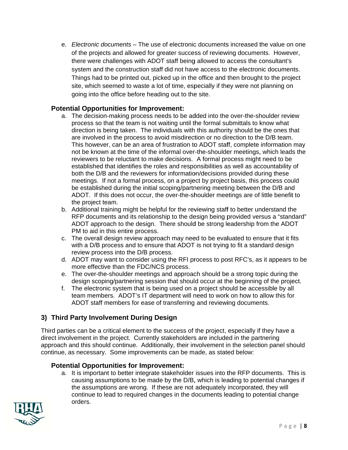e. *Electronic documents* – The use of electronic documents increased the value on one site, which seemed to waste a lot of time, especially if they were not planning on<br>going into the office before heading out to the site.<br>**Example 10 and 10 and 10 and 10 and 10 and 10 and 10 and 10 and 10 and 10 and 10 and** of the projects and allowed for greater success of reviewing documents. However, there were challenges with ADOT staff being allowed to access the consultant's system and the construction staff did not have access to the electronic documents. Things had to be printed out, picked up in the office and then brought to the project site, which seemed to waste a lot of time, especially if they were not planning on going into the office before heading out to the site.

#### **Potential Opportunities for Improvement:**

- process so that the team is not waiting until the formal submittals to know what direction is being taken. The individuals with this authority should be the ones that are involved in the process to avoid misdirection or no direction to the D/B team. This however, can be an area of frustration to ADOT staff, complete information may not be known at the time of the informal over-the-shoulder meetings, which leads the reviewers to be reluctant to make decisions. A formal process might need to be established that identifies the roles and responsibilities as well as accountability of both the D/B and the reviewers for information/decisions provided during these meetings. If not a formal process, on a project by project basis, this process could be established during the initial scoping/partnering meeting between the D/B and be established during the initial scoping/partnering meeting between the D/B and<br>ADOT. If this does not occur, the over-the-shoulder meetings are of little benefit to the project team.
- b. Additional training might be helpful for the reviewing staff to better understand the RFP documents and its relationship to the design being provided versus a "standard" ADOT approach to the design. There should be strong leadership from the ADOT PM to aid in this entire process.
- c. The overall design review approach may need to be evaluated to ensure that it fits with a D/B process and to ensure that ADOT is not trying to fit a standard design<br>review process into the D/B process.<br>d. ADOT may want to consider using the RFI process to post RFC's, as it appears to be with a D/B process and to ensure that ADOT is not trying to fit a standard design review process into the D/B process.
- more effective than the FDC/NCS process.
- e. The over-the-shoulder meetings and approach should be a strong topic during the design scoping/partnering session that should occur at the beginning of the project.
- f. The electronic system that is being used on a project should be accessible by all team members. ADOT's IT department will need to work on how to allow this for ADOT staff members for ease of transferring and reviewing documents.

#### **3) Third Party Involvement During Design**

Third parties can be a critical element to the success of the project, especially if they have a direct involvement in the project. Currently stakeholders are included in the partnering approach and this should continue. Additionally, their involvement in the selection panel should continue, as necessary. Some improvements can be made, as stated below:

#### **Potential Opportunities for Improvement:**

a. It is important to better integrate stakeholder issues into the RFP documents. This is causing assumptions to be made by the D/B, which is leading to potential changes if the assumptions are wrong. If these are not adequately incorporated, they will continue to lead to required changes in the documents leading to potential change orders.

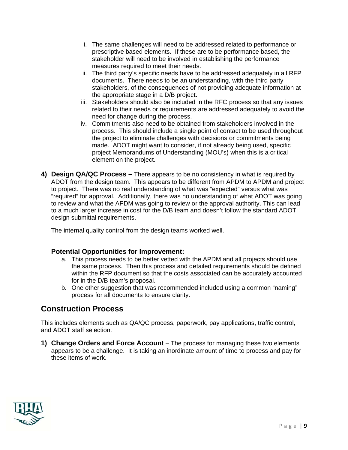- i. The same challenges will need to be addressed related to performance or prescriptive based elements. If these are to be performance based, the stakeholder will need to be involved in establishing the performance measures required to meet their needs.
- ii. The third party's specific needs have to be addressed adequately in all RFP documents. There needs to be an understanding, with the third party stakeholders, of the consequences of not providing adequate information at the appropriate stage in a D/B project.
- iii. Stakeholders should also be included in the RFC process so that any issues related to their needs or requirements are addressed adequately to avoid the need for change during the process.
- iv. Commitments also need to be obtained from stakeholders involved in the process. This should include a single point of contact to be used throughout the project to eliminate challenges with decisions or commitments being made. ADOT might want to consider, if not already being used, specific project Memorandums of Understanding (MOU's) when this is a critical element on the project.
- 4) Design QA/QC Process There appears to be no consistency in what is required by ADOT from the design team. This appears to be different from APDM to APDM and project to project. There was no real understanding of what was "expected" versus what was "required" for approval. Additionally, there was no understanding of what ADOT was going to review and what the APDM was going to review or the approval authority. This can lead to a much larger increase in cost for the D/B team and doesn't follow the standard ADOT design submittal requirements.

The internal quality control from the design teams worked well.

#### **Potential Opportunities for Improvement:**

- a. This process needs to be better vetted with the APDM and all projects should use the same process. Then this process and detailed requirements should be defined within the RFP document so that the costs associated can be accurately accounted for in the D/B team's proposal.
- b. One other suggestion that was recommended included using a common "naming" process for all documents to ensure clarity.

## **Construction Process**

This includes elements such as QA/QC process, paperwork, pay applications, traffic control, and ADOT staff selection.

1) Change Orders and Force Account – The process for managing these two elements appears to be a challenge. It is taking an inordinate amount of time to process and pay for these items of work

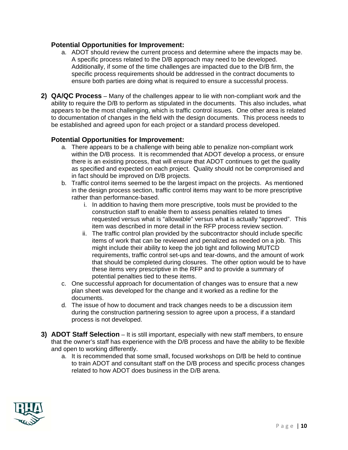#### **Potential Opportunities for Improvement:**

- a. ADOT should review the current process and determine where the impacts may be. A specific process related to the D/B approach may need to be developed. Additionally, if some of the time challenges are impacted due to the D/B firm, the specific process requirements should be addressed in the contract documents to ensure both parties are doing what is required to ensure a successful process.
- 2) QA/QC Process Many of the challenges appear to lie with non-compliant work and the ability to require the D/B to perform as stipulated in the documents. This also includes, what appears to be the most challenging, which is traffic control issues. One other area is related to documentation of changes in the field with the design documents. This process needs to be established and agreed upon for each project or a standard process developed.

- a. There appears to be a challenge with being able to penalize non-compliant work within the D/B process. It is recommended that ADOT develop a process, or ensure there is an existing process, that will ensure that ADOT continues to get the quality as specified and expected on each project. Quality should not be compromised and in fact should be improved on D/B projects.
- b. Traffic control items seemed to be the largest impact on the projects. As mentioned in the design process section, traffic control items may want to be more prescriptive rather than performance-based.
	- i. In addition to having them more prescriptive, tools must be provided to the construction staff to enable them to assess penalties related to times requested versus what is "allowable" versus what is actually "approved". This item was described in more detail in the RFP process review section.
	- ii. The traffic control plan provided by the subcontractor should include specific items of work that can be reviewed and penalized as needed on a job. This might include their ability to keep the job tight and following MUTCD requirements, traffic control set-ups and tear-downs, and the amount of work that should be completed during closures. The other option would be to have these items very prescriptive in the RFP and to provide a summary of potential penalties tied to these items.
- c. One successful approach for documentation of changes was to ensure that a new plan sheet was developed for the change and it worked as a redline for the documents.
- d. The issue of how to document and track changes needs to be a discussion item during the construction partnering session to agree upon a process, if a standard process is not developed.
- 3) ADOT Staff Selection It is still important, especially with new staff members, to ensure that the owner's staff has experience with the D/B process and have the ability to be flexible and open to working differently.
	- a. It is recommended that some small, focused workshops on D/B be held to continue to train ADOT and consultant staff on the D/B process and specific process changes related to how ADOT does business in the D/B arena.

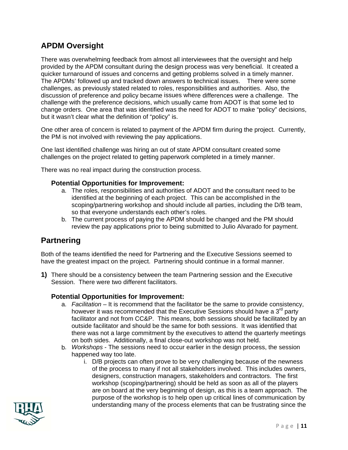# **APDM Oversight**

There was overwhelming feedback from almost all interviewees that the oversight and help provided by the APDM consultant during the design process was very beneficial. It created a quicker turnaround of issues and concerns and getting problems solved in a timely manner. The APDMs' followed up and tracked down answers to technical issues. There were some challenges, as previously stated related to roles, responsibilities and authorities. Also, the discussion of preference and policy became issues where differences were a challenge. The challenge with the preference decisions, which usually came from ADOT is that some led to change orders. One area that was identified was the need for ADOT to make "policy" decisions, but it wasn't clear what the definition of "policy" is.

One other area of concern is related to payment of the APDM firm during the project. Currently, the PM is not involved with reviewing the pay applications.

One last identified challenge was hiring an out of state APDM consultant created some challenges on the project related to getting paperwork completed in a timely manner.

There was no real impact during the construction process.

#### **Potential Opportunities for Improvement:**

- a. The roles, responsibilities and authorities of ADOT and the consultant need to be identified at the beginning of each project. This can be accomplished in the scoping/partnering workshop and should include all parties, including the D/B team, so that everyone understands each other's roles.
- b. The current process of paying the APDM should be changed and the PM should review the pay applications prior to being submitted to Julio Alvarado for payment.

## **Partnering**

Both of the teams identified the need for Partnering and the Executive Sessions seemed to have the greatest impact on the project. Partnering should continue in a formal manner.

1) There should be a consistency between the team Partnering session and the Executive Session. There were two different facilitators.

- a. Facilitation It is recommend that the facilitator be the same to provide consistency, however it was recommended that the Executive Sessions should have a 3<sup>rd</sup> party facilitator and not from CC&P. This means, both sessions should be facilitated by an outside facilitator and should be the same for both sessions. It was identified that there was not a large commitment by the executives to attend the quarterly meetings on both sides. Additionally, a final close-out workshop was not held.
- b. Workshops The sessions need to occur earlier in the design process, the session happened way too late.
	- i. D/B projects can often prove to be very challenging because of the newness of the process to many if not all stakeholders involved. This includes owners, designers, construction managers, stakeholders and contractors. The first workshop (scoping/partnering) should be held as soon as all of the players are on board at the very beginning of design, as this is a team approach. The purpose of the workshop is to help open up critical lines of communication by understanding many of the process elements that can be frustrating since the

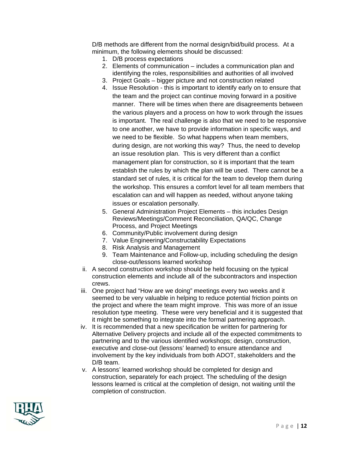D/B methods are different from the normal design/bid/build process. At a minimum, the following elements should be discussed:

- 1. D/B process expectations
- 2. Elements of communication includes a communication plan and identifying the roles, responsibilities and authorities of all involved
- 3. Project Goals bigger picture and not construction related
- 4. Issue Resolution this is important to identify early on to ensure that the team and the project can continue moving forward in a positive manner. There will be times when there are disagreements between the various players and a process on how to work through the issues is important. The real challenge is also that we need to be responsive to one another, we have to provide information in specific ways, and we need to be flexible. So what happens when team members, during design, are not working this way? Thus, the need to develop an issue resolution plan. This is very different than a conflict management plan for construction, so it is important that the team establish the rules by which the plan will be used. There cannot be a standard set of rules, it is critical for the team to develop them during the workshop. This ensures a comfort level for all team members that escalation can and will happen as needed, without anyone taking issues or escalation personally.
- 5. General Administration Project Elements this includes Design Reviews/Meetings/Comment Reconciliation, QA/QC, Change Process, and Project Meetings
- 6. Community/Public involvement during design
- 7. Value Engineering/Constructability Expectations
- 8. Risk Analysis and Management
- 9. Team Maintenance and Follow-up, including scheduling the design close-out/lessons learned workshop
- ii. A second construction workshop should be held focusing on the typical construction elements and include all of the subcontractors and inspection crews.
- iii. One project had "How are we doing" meetings every two weeks and it seemed to be very valuable in helping to reduce potential friction points on the project and where the team might improve. This was more of an issue resolution type meeting. These were very beneficial and it is suggested that it might be something to integrate into the formal partnering approach.
- iv. It is recommended that a new specification be written for partnering for Alternative Delivery projects and include all of the expected commitments to partnering and to the various identified workshops; design, construction, executive and close-out (lessons' learned) to ensure attendance and involvement by the key individuals from both ADOT, stakeholders and the D/B team.
- v. A lessons' learned workshop should be completed for design and construction, separately for each project. The scheduling of the design lessons learned is critical at the completion of design, not waiting until the completion of construction.

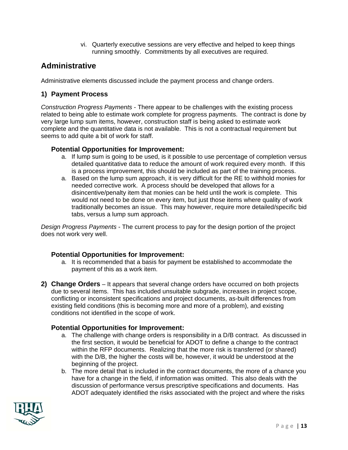vi. Quarterly executive sessions are very effective and helped to keep things running smoothly. Commitments by all executives are required.

# **Administrative**

Administrative elements discussed include the payment process and change orders.

### 1) Payment Process

Construction Progress Payments - There appear to be challenges with the existing process related to being able to estimate work complete for progress payments. The contract is done by very large lump sum items, however, construction staff is being asked to estimate work complete and the quantitative data is not available. This is not a contractual requirement but seems to add quite a bit of work for staff.

#### **Potential Opportunities for Improvement:**

- a. If lump sum is going to be used, is it possible to use percentage of completion versus detailed quantitative data to reduce the amount of work required every month. If this is a process improvement, this should be included as part of the training process.
- a. Based on the lump sum approach, it is very difficult for the RE to withhold monies for needed corrective work. A process should be developed that allows for a disincentive/penalty item that monies can be held until the work is complete. This would not need to be done on every item, but just those items where quality of work traditionally becomes an issue. This may however, require more detailed/specific bid tabs, versus a lump sum approach.

Design Progress Payments - The current process to pay for the design portion of the project does not work very well.

#### **Potential Opportunities for Improvement:**

- a. It is recommended that a basis for payment be established to accommodate the payment of this as a work item.
- 2) Change Orders It appears that several change orders have occurred on both projects due to several items. This has included unsuitable subgrade, increases in project scope, conflicting or inconsistent specifications and project documents, as-built differences from existing field conditions (this is becoming more and more of a problem), and existing conditions not identified in the scope of work.

- a. The challenge with change orders is responsibility in a D/B contract. As discussed in the first section, it would be beneficial for ADOT to define a change to the contract within the RFP documents. Realizing that the more risk is transferred (or shared) with the D/B, the higher the costs will be, however, it would be understood at the beginning of the project.
- b. The more detail that is included in the contract documents, the more of a chance you have for a change in the field, if information was omitted. This also deals with the discussion of performance versus prescriptive specifications and documents. Has ADOT adequately identified the risks associated with the project and where the risks

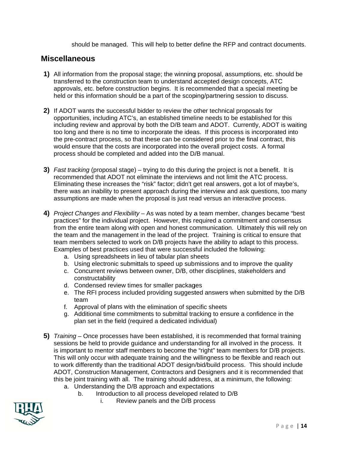should be managed. This will help to better define the RFP and contract documents.

## **Miscellaneous**

- 1) All information from the proposal stage; the winning proposal, assumptions, etc. should be transferred to the construction team to understand accepted design concepts, ATC approvals, etc. before construction begins. It is recommended that a special meeting be held or this information should be a part of the scoping/partnering session to discuss.
- 2) If ADOT wants the successful bidder to review the other technical proposals for opportunities, including ATC's, an established timeline needs to be established for this including review and approval by both the D/B team and ADOT. Currently, ADOT is waiting too long and there is no time to incorporate the ideas. If this process is incorporated into the pre-contract process, so that these can be considered prior to the final contract, this would ensure that the costs are incorporated into the overall project costs. A formal process should be completed and added into the D/B manual.
- 3) Fast tracking (proposal stage) trying to do this during the project is not a benefit. It is recommended that ADOT not eliminate the interviews and not limit the ATC process. Eliminating these increases the "risk" factor; didn't get real answers, got a lot of maybe's, there was an inability to present approach during the interview and ask questions, too many assumptions are made when the proposal is just read versus an interactive process.
- 4) Project Changes and Flexibility As was noted by a team member, changes became "best" practices" for the individual project. However, this required a commitment and consensus from the entire team along with open and honest communication. Ultimately this will rely on the team and the management in the lead of the project. Training is critical to ensure that team members selected to work on D/B projects have the ability to adapt to this process. Examples of best practices used that were successful included the following:
	- a. Using spreadsheets in lieu of tabular plan sheets
	- b. Using electronic submittals to speed up submissions and to improve the quality
	- c. Concurrent reviews between owner, D/B, other disciplines, stakeholders and constructability
	- d. Condensed review times for smaller packages
	- e. The RFI process included providing suggested answers when submitted by the D/B team
	- f. Approval of plans with the elimination of specific sheets
	- g. Additional time commitments to submittal tracking to ensure a confidence in the plan set in the field (required a dedicated individual)
- 5) Training Once processes have been established, it is recommended that formal training sessions be held to provide guidance and understanding for all involved in the process. It is important to mentor staff members to become the "right" team members for D/B projects. This will only occur with adequate training and the willingness to be flexible and reach out to work differently than the traditional ADOT design/bid/build process. This should include ADOT, Construction Management, Contractors and Designers and it is recommended that this be joint training with all. The training should address, at a minimum, the following:
	- a. Understanding the D/B approach and expectations
		- Introduction to all process developed related to D/B  $b<sub>1</sub>$ 
			- Review panels and the D/B process i.